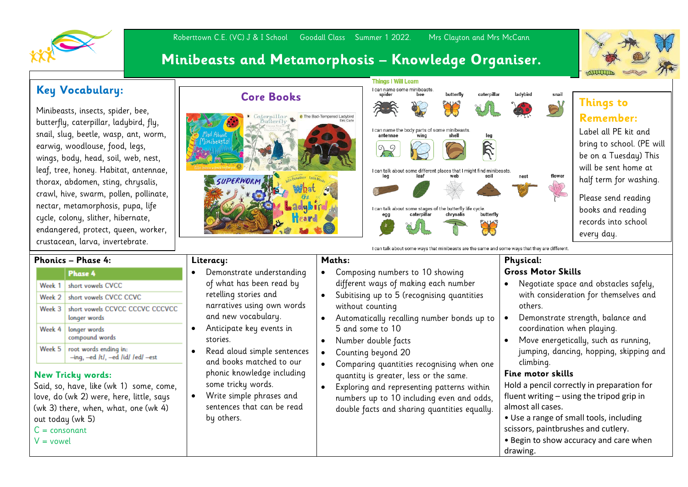

## Roberttown C.E. (VC) J & I School Goodall Class Summer 1 2022. Mrs Clayton and Mrs McCann **Minibeasts and Metamorphosis – Knowledge Organiser.**

## **Key Vocabulary:**  $\sqrt{\frac{1}{1-\frac{1}{1-\frac{1}{1-\frac{1}{1-\frac{1}{1-\frac{1}{1-\frac{1}{1-\frac{1}{1-\frac{1}{1-\frac{1}{1-\frac{1}{1-\frac{1}{1-\frac{1}{1-\frac{1}{1-\frac{1}{1-\frac{1}{1-\frac{1}{1-\frac{1}{1-\frac{1}{1-\frac{1}{1-\frac{1}{1-\frac{1}{1-\frac{1}{1-\frac{1}{1-\frac{1}{1-\frac{1}{1-\frac{1}{1-\frac{1}{1-\frac{1}{1-\frac{1}{1-\frac{1}{1-\frac{1}{1-\frac{1}{1-\frac{$

Minibeasts, insects, spider, bee, butterfly, caterpillar, ladybird, fly, snail, slug, beetle, wasp, ant, worm, earwig, woodlouse, food, legs, wings, body, head, soil, web, nest, leaf, tree, honey. Habitat, antennae, thorax, abdomen, sting, chrysalis, crawl, hive, swarm, pollen, pollinate, nectar, metamorphosis, pupa, life cycle, colony, slither, hibernate, endangered, protect, queen, worker, crustacean, larva, invertebrate.





**Taughter Things to** 

## **Remember:**

Label all PE kit and bring to school. (PE will be on a Tuesday) This will be sent home at half term for washing.

Please send reading books and reading records into school every day.

- tacles safely, emselves and
- alance and coordination when playing.
- as running, iq, skipping and climbing.

paration for fluent writing in

- including utlery.
- d care when drawing.

|                                                                     |                                                            |                                                                      |                                                                              |                                           | i can taik about sonre ways that inimiteasts are the same and some ways that they are unferent. |                                 |                                |  |
|---------------------------------------------------------------------|------------------------------------------------------------|----------------------------------------------------------------------|------------------------------------------------------------------------------|-------------------------------------------|-------------------------------------------------------------------------------------------------|---------------------------------|--------------------------------|--|
| <b>Phonics - Phase 4:</b>                                           |                                                            |                                                                      | Literacy:                                                                    |                                           | Maths:                                                                                          |                                 | <b>Physical:</b>               |  |
|                                                                     | <b>Phase 4</b>                                             |                                                                      | Demonstrate understanding                                                    |                                           | Composing numbers to 10 showing                                                                 |                                 | <b>Gross Motor Skills</b>      |  |
| Week 1                                                              | short vowels CVCC                                          |                                                                      | of what has been read by                                                     |                                           | different ways of making each number                                                            |                                 | Negotiate space and obs        |  |
|                                                                     | Week 2   short vowels CVCC CCVC                            |                                                                      | retelling stories and                                                        |                                           | Subitising up to 5 (recognising quantities                                                      |                                 | with consideration for th      |  |
| Week 3                                                              | short vowels CCVCC CCCVC CCCVCC                            |                                                                      | narratives using own words                                                   |                                           | without counting                                                                                |                                 | others.                        |  |
|                                                                     | longer words                                               |                                                                      | and new vocabulary.                                                          |                                           | Automatically recalling number bonds up to                                                      |                                 | Demonstrate strength, bo       |  |
| Week 4                                                              | longer words                                               |                                                                      | Anticipate key events in                                                     |                                           | 5 and some to 10                                                                                |                                 | coordination when playir       |  |
|                                                                     | compound words                                             |                                                                      | stories.                                                                     |                                           | Number double facts                                                                             |                                 | Move energetically, such       |  |
| Week 5                                                              | root words ending in:<br>-ing, -ed /t/, -ed /id/ /ed/ -est |                                                                      | Read aloud simple sentences                                                  |                                           | Counting beyond 20                                                                              |                                 | jumping, dancing, hoppin       |  |
|                                                                     |                                                            |                                                                      | and books matched to our<br>phonic knowledge including<br>some tricky words. |                                           | Comparing quantities recognising when one                                                       |                                 | climbing.                      |  |
| <b>New Tricky words:</b><br>Said, so, have, like (wk 1) some, come, |                                                            | Write simple phrases and<br>sentences that can be read<br>by others. |                                                                              |                                           | quantity is greater, less or the same.<br>Exploring and representing patterns within            |                                 | Fine motor skills              |  |
|                                                                     |                                                            |                                                                      |                                                                              |                                           |                                                                                                 |                                 | Hold a pencil correctly in pre |  |
| love, do (wk 2) were, here, little, says                            |                                                            |                                                                      |                                                                              | numbers up to 10 including even and odds, |                                                                                                 | fluent writing - using the trip |                                |  |
| (wk 3) there, when, what, one (wk 4)                                |                                                            |                                                                      |                                                                              |                                           | double facts and sharing quantities equally.                                                    |                                 | almost all cases.              |  |
| out today (wk 5)                                                    |                                                            |                                                                      |                                                                              |                                           |                                                                                                 |                                 | • Use a range of small tools,  |  |
| $C = consonant$                                                     |                                                            |                                                                      |                                                                              |                                           |                                                                                                 |                                 | scissors, paintbrushes and cu  |  |
| $V =$ vowel                                                         |                                                            |                                                                      |                                                                              |                                           |                                                                                                 |                                 | • Begin to show accuracy and   |  |
|                                                                     |                                                            |                                                                      |                                                                              |                                           |                                                                                                 |                                 | drawing.                       |  |